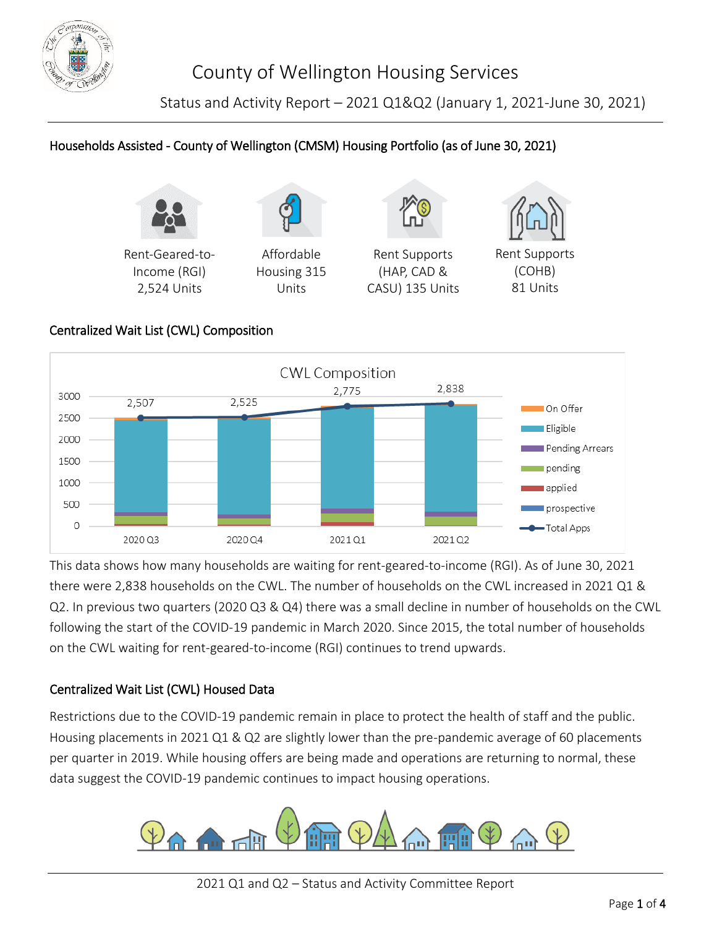

Status and Activity Report – 2021 Q1&Q2 (January 1, 2021-June 30, 2021)

# Households Assisted - County of Wellington (CMSM) Housing Portfolio (as of June 30, 2021)



Rent-Geared-to-Income (RGI) 2,524 Units

Affordable Housing 315 Units



Rent Supports (HAP, CAD & CASU) 135 Units



Rent Supports (COHB) 81 Units

### Centralized Wait List (CWL) Composition



This data shows how many households are waiting for rent-geared-to-income (RGI). As of June 30, 2021 there were 2,838 households on the CWL. The number of households on the CWL increased in 2021 Q1 & Q2. In previous two quarters (2020 Q3 & Q4) there was a small decline in number of households on the CWL following the start of the COVID-19 pandemic in March 2020. Since 2015, the total number of households on the CWL waiting for rent-geared-to-income (RGI) continues to trend upwards.

#### Centralized Wait List (CWL) Housed Data

Restrictions due to the COVID-19 pandemic remain in place to protect the health of staff and the public. Housing placements in 2021 Q1 & Q2 are slightly lower than the pre-pandemic average of 60 placements per quarter in 2019. While housing offers are being made and operations are returning to normal, these data suggest the COVID-19 pandemic continues to impact housing operations.

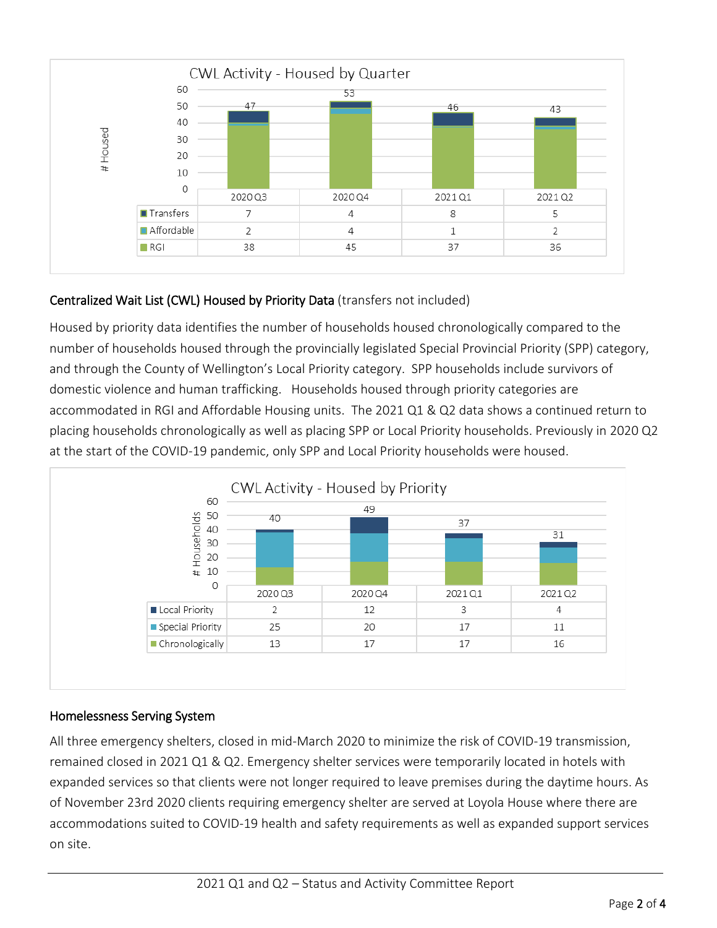

## Centralized Wait List (CWL) Housed by Priority Data (transfers not included)

Housed by priority data identifies the number of households housed chronologically compared to the number of households housed through the provincially legislated Special Provincial Priority (SPP) category, and through the County of Wellington's Local Priority category. SPP households include survivors of domestic violence and human trafficking. Households housed through priority categories are accommodated in RGI and Affordable Housing units. The 2021 Q1 & Q2 data shows a continued return to placing households chronologically as well as placing SPP or Local Priority households. Previously in 2020 Q2 at the start of the COVID-19 pandemic, only SPP and Local Priority households were housed.



### Homelessness Serving System

All three emergency shelters, closed in mid-March 2020 to minimize the risk of COVID-19 transmission, remained closed in 2021 Q1 & Q2. Emergency shelter services were temporarily located in hotels with expanded services so that clients were not longer required to leave premises during the daytime hours. As of November 23rd 2020 clients requiring emergency shelter are served at Loyola House where there are accommodations suited to COVID-19 health and safety requirements as well as expanded support services on site.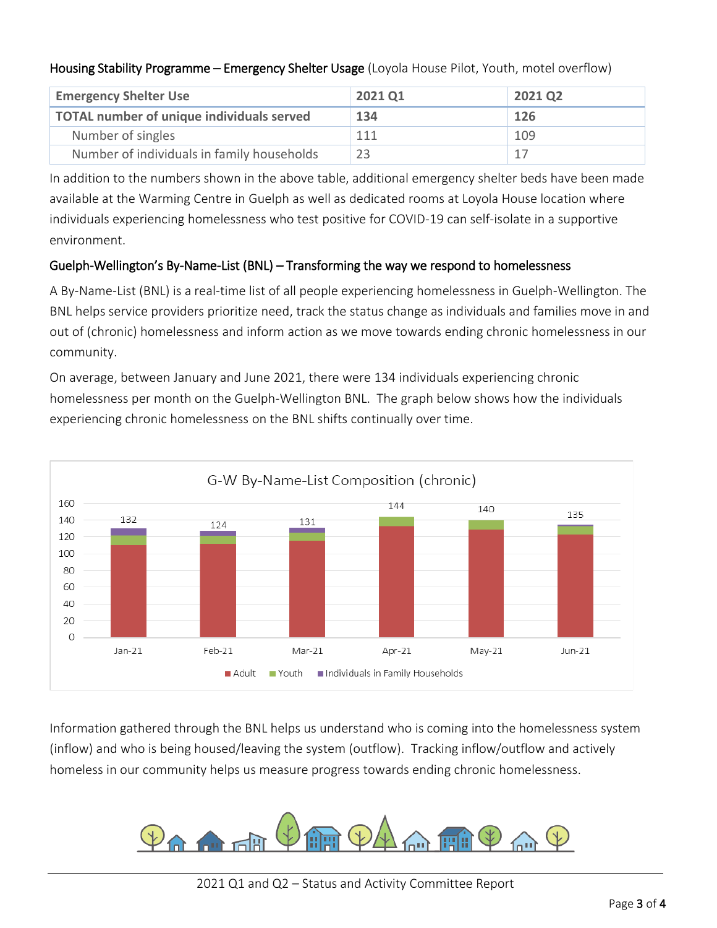### Housing Stability Programme – Emergency Shelter Usage (Loyola House Pilot, Youth, motel overflow)

| <b>Emergency Shelter Use</b>               | 2021 Q1 | 2021 Q <sub>2</sub> |
|--------------------------------------------|---------|---------------------|
| TOTAL number of unique individuals served  | 134     | 126                 |
| Number of singles                          | 111     | 109                 |
| Number of individuals in family households | 23      |                     |

In addition to the numbers shown in the above table, additional emergency shelter beds have been made available at the Warming Centre in Guelph as well as dedicated rooms at Loyola House location where individuals experiencing homelessness who test positive for COVID-19 can self-isolate in a supportive environment.

### Guelph-Wellington's By-Name-List (BNL) – Transforming the way we respond to homelessness

A By-Name-List (BNL) is a real-time list of all people experiencing homelessness in Guelph-Wellington. The BNL helps service providers prioritize need, track the status change as individuals and families move in and out of (chronic) homelessness and inform action as we move towards ending chronic homelessness in our community.

On average, between January and June 2021, there were 134 individuals experiencing chronic homelessness per month on the Guelph-Wellington BNL. The graph below shows how the individuals experiencing chronic homelessness on the BNL shifts continually over time.



Information gathered through the BNL helps us understand who is coming into the homelessness system (inflow) and who is being housed/leaving the system (outflow). Tracking inflow/outflow and actively homeless in our community helps us measure progress towards ending chronic homelessness.